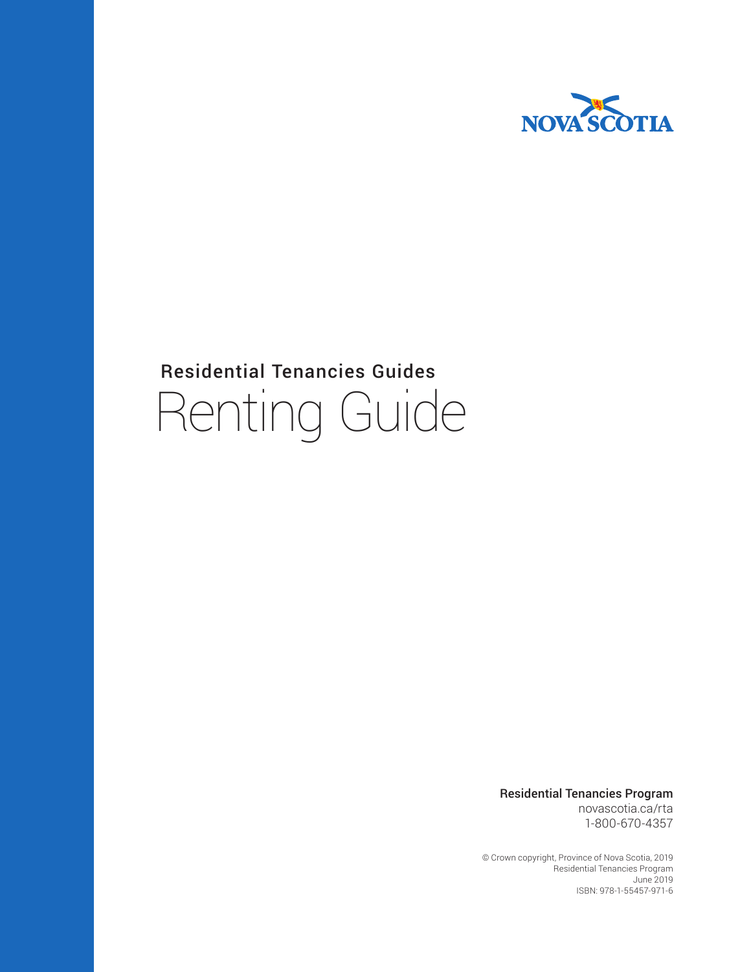

# Residential Tenancies Guides Renting Guide

Residential Tenancies Program novascotia.ca/rta 1-800-670-4357

© Crown copyright, Province of Nova Scotia, 2019 Residential Tenancies Program June 2019 ISBN: 978-1-55457-971-6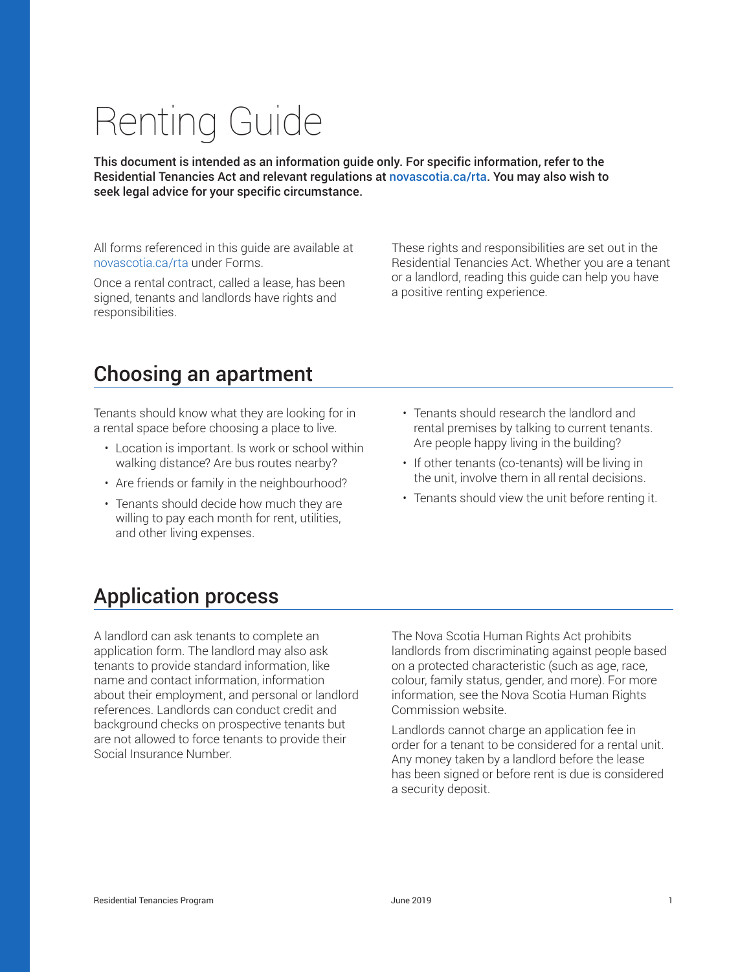#### Residential Tenancies Program June 2019 1

Residential Tenancies Act and relevant regulations at novascotia.ca/rta. You may also wish to seek legal advice for your specific circumstance.

This document is intended as an information guide only. For specific information, refer to the

All forms referenced in this guide are available at novascotia.ca/rta under Forms.

Once a rental contract, called a lease, has been signed, tenants and landlords have rights and responsibilities.

These rights and responsibilities are set out in the Residential Tenancies Act. Whether you are a tenant or a landlord, reading this guide can help you have a positive renting experience.

### Choosing an apartment

Tenants should know what they are looking for in a rental space before choosing a place to live.

- Location is important. Is work or school within walking distance? Are bus routes nearby?
- Are friends or family in the neighbourhood?
- Tenants should decide how much they are willing to pay each month for rent, utilities, and other living expenses.
- Tenants should research the landlord and rental premises by talking to current tenants. Are people happy living in the building?
- If other tenants (co-tenants) will be living in the unit, involve them in all rental decisions.
- Tenants should view the unit before renting it.

### Application process

A landlord can ask tenants to complete an application form. The landlord may also ask tenants to provide standard information, like name and contact information, information about their employment, and personal or landlord references. Landlords can conduct credit and background checks on prospective tenants but are not allowed to force tenants to provide their Social Insurance Number.

The Nova Scotia Human Rights Act prohibits landlords from discriminating against people based on a protected characteristic (such as age, race, colour, family status, gender, and more). For more information, see the Nova Scotia Human Rights Commission website.

Landlords cannot charge an application fee in order for a tenant to be considered for a rental unit. Any money taken by a landlord before the lease has been signed or before rent is due is considered a security deposit.

# Renting Guide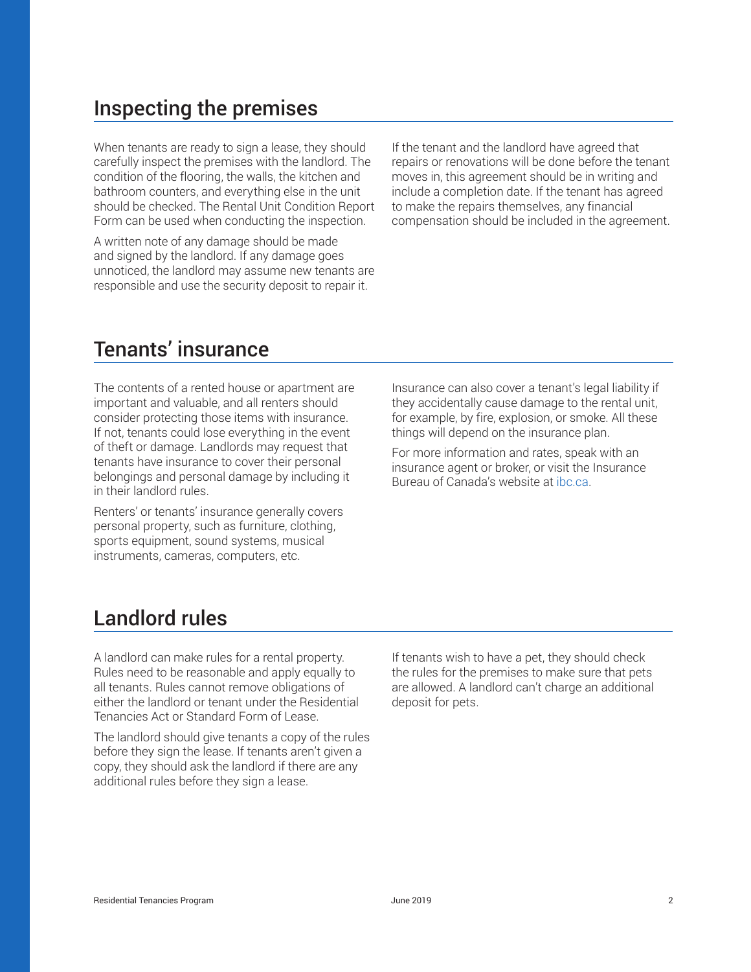## Inspecting the premises

When tenants are ready to sign a lease, they should carefully inspect the premises with the landlord. The condition of the flooring, the walls, the kitchen and bathroom counters, and everything else in the unit should be checked. The Rental Unit Condition Report Form can be used when conducting the inspection.

A written note of any damage should be made and signed by the landlord. If any damage goes unnoticed, the landlord may assume new tenants are responsible and use the security deposit to repair it.

If the tenant and the landlord have agreed that repairs or renovations will be done before the tenant moves in, this agreement should be in writing and include a completion date. If the tenant has agreed to make the repairs themselves, any financial compensation should be included in the agreement.

## Tenants' insurance

The contents of a rented house or apartment are important and valuable, and all renters should consider protecting those items with insurance. If not, tenants could lose everything in the event of theft or damage. Landlords may request that tenants have insurance to cover their personal belongings and personal damage by including it in their landlord rules.

Renters' or tenants' insurance generally covers personal property, such as furniture, clothing, sports equipment, sound systems, musical instruments, cameras, computers, etc.

Insurance can also cover a tenant's legal liability if they accidentally cause damage to the rental unit, for example, by fire, explosion, or smoke. All these things will depend on the insurance plan.

For more information and rates, speak with an insurance agent or broker, or visit the Insurance Bureau of Canada's website at ibc.ca.

# Landlord rules

A landlord can make rules for a rental property. Rules need to be reasonable and apply equally to all tenants. Rules cannot remove obligations of either the landlord or tenant under the Residential Tenancies Act or Standard Form of Lease.

The landlord should give tenants a copy of the rules before they sign the lease. If tenants aren't given a copy, they should ask the landlord if there are any additional rules before they sign a lease.

If tenants wish to have a pet, they should check the rules for the premises to make sure that pets are allowed. A landlord can't charge an additional deposit for pets.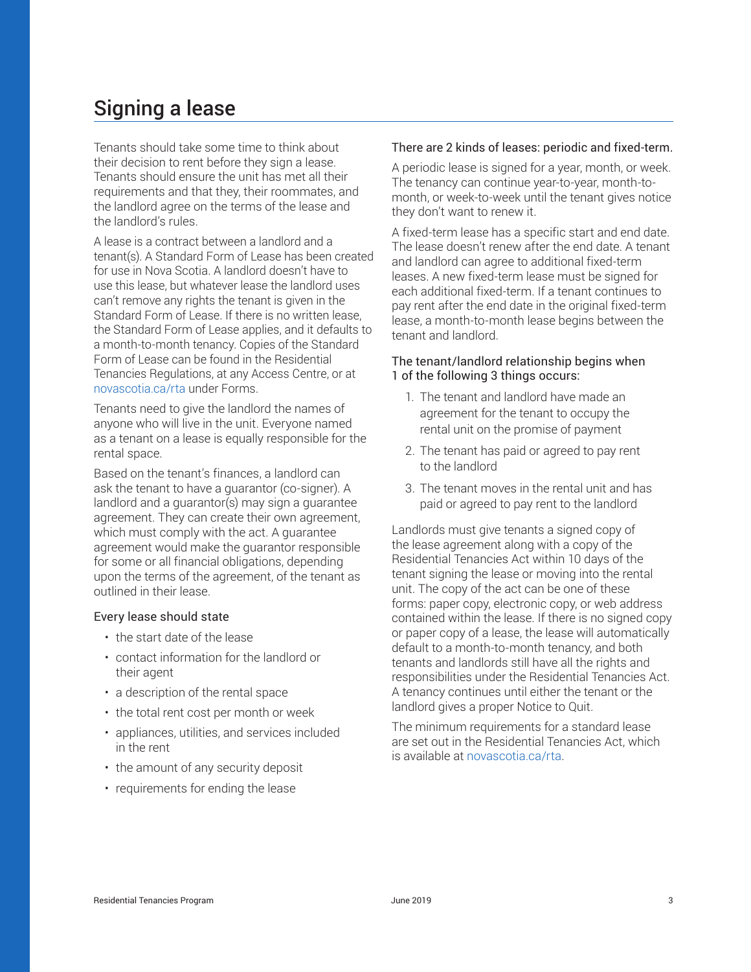# Signing a lease

Tenants should take some time to think about their decision to rent before they sign a lease. Tenants should ensure the unit has met all their requirements and that they, their roommates, and the landlord agree on the terms of the lease and the landlord's rules.

A lease is a contract between a landlord and a tenant(s). A Standard Form of Lease has been created for use in Nova Scotia. A landlord doesn't have to use this lease, but whatever lease the landlord uses can't remove any rights the tenant is given in the Standard Form of Lease. If there is no written lease, the Standard Form of Lease applies, and it defaults to a month-to-month tenancy. Copies of the Standard Form of Lease can be found in the Residential Tenancies Regulations, at any Access Centre, or at novascotia.ca/rta under Forms.

Tenants need to give the landlord the names of anyone who will live in the unit. Everyone named as a tenant on a lease is equally responsible for the rental space.

Based on the tenant's finances, a landlord can ask the tenant to have a guarantor (co-signer). A landlord and a guarantor(s) may sign a guarantee agreement. They can create their own agreement, which must comply with the act. A guarantee agreement would make the guarantor responsible for some or all financial obligations, depending upon the terms of the agreement, of the tenant as outlined in their lease.

#### Every lease should state

- the start date of the lease
- contact information for the landlord or their agent
- a description of the rental space
- the total rent cost per month or week
- appliances, utilities, and services included in the rent
- the amount of any security deposit
- requirements for ending the lease

#### There are 2 kinds of leases: periodic and fixed-term.

A periodic lease is signed for a year, month, or week. The tenancy can continue year-to-year, month-tomonth, or week-to-week until the tenant gives notice they don't want to renew it.

A fixed-term lease has a specific start and end date. The lease doesn't renew after the end date. A tenant and landlord can agree to additional fixed-term leases. A new fixed-term lease must be signed for each additional fixed-term. If a tenant continues to pay rent after the end date in the original fixed-term lease, a month-to-month lease begins between the tenant and landlord.

#### The tenant/landlord relationship begins when 1 of the following 3 things occurs:

- 1. The tenant and landlord have made an agreement for the tenant to occupy the rental unit on the promise of payment
- 2. The tenant has paid or agreed to pay rent to the landlord
- 3. The tenant moves in the rental unit and has paid or agreed to pay rent to the landlord

Landlords must give tenants a signed copy of the lease agreement along with a copy of the Residential Tenancies Act within 10 days of the tenant signing the lease or moving into the rental unit. The copy of the act can be one of these forms: paper copy, electronic copy, or web address contained within the lease. If there is no signed copy or paper copy of a lease, the lease will automatically default to a month-to-month tenancy, and both tenants and landlords still have all the rights and responsibilities under the Residential Tenancies Act. A tenancy continues until either the tenant or the landlord gives a proper Notice to Quit.

The minimum requirements for a standard lease are set out in the Residential Tenancies Act, which is available at novascotia.ca/rta.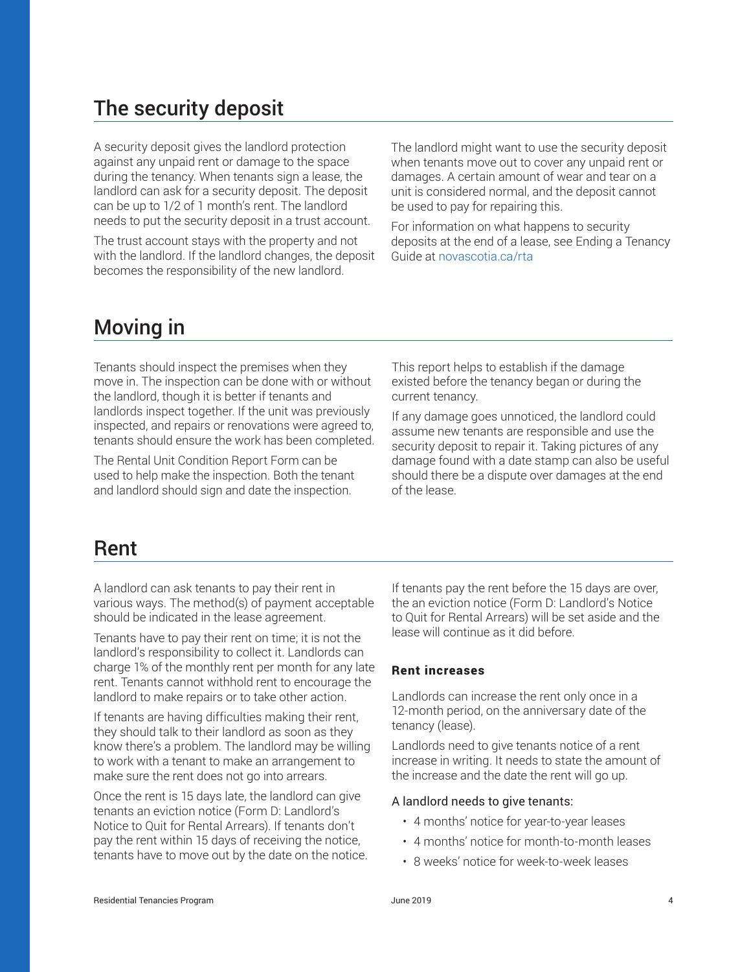# The security deposit

A security deposit gives the landlord protection against any unpaid rent or damage to the space during the tenancy. When tenants sign a lease, the landlord can ask for a security deposit. The deposit can be up to 1/2 of 1 month's rent. The landlord needs to put the security deposit in a trust account.

The trust account stays with the property and not with the landlord. If the landlord changes, the deposit becomes the responsibility of the new landlord.

The landlord might want to use the security deposit when tenants move out to cover any unpaid rent or damages. A certain amount of wear and tear on a unit is considered normal, and the deposit cannot be used to pay for repairing this.

For information on what happens to security deposits at the end of a lease, see Ending a Tenancy Guide at novascotia.ca/rta

# Moving in

Tenants should inspect the premises when they move in. The inspection can be done with or without the landlord, though it is better if tenants and landlords inspect together. If the unit was previously inspected, and repairs or renovations were agreed to, tenants should ensure the work has been completed.

The Rental Unit Condition Report Form can be used to help make the inspection. Both the tenant and landlord should sign and date the inspection.

This report helps to establish if the damage existed before the tenancy began or during the current tenancy.

If any damage goes unnoticed, the landlord could assume new tenants are responsible and use the security deposit to repair it. Taking pictures of any damage found with a date stamp can also be useful should there be a dispute over damages at the end of the lease.

### Rent

A landlord can ask tenants to pay their rent in various ways. The method(s) of payment acceptable should be indicated in the lease agreement.

Tenants have to pay their rent on time; it is not the landlord's responsibility to collect it. Landlords can charge 1% of the monthly rent per month for any late rent. Tenants cannot withhold rent to encourage the landlord to make repairs or to take other action.

If tenants are having difficulties making their rent, they should talk to their landlord as soon as they know there's a problem. The landlord may be willing to work with a tenant to make an arrangement to make sure the rent does not go into arrears.

Once the rent is 15 days late, the landlord can give tenants an eviction notice (Form D: Landlord's Notice to Quit for Rental Arrears). If tenants don't pay the rent within 15 days of receiving the notice, tenants have to move out by the date on the notice. If tenants pay the rent before the 15 days are over, the an eviction notice (Form D: Landlord's Notice to Quit for Rental Arrears) will be set aside and the lease will continue as it did before.

#### Rent increases

Landlords can increase the rent only once in a 12-month period, on the anniversary date of the tenancy (lease).

Landlords need to give tenants notice of a rent increase in writing. It needs to state the amount of the increase and the date the rent will go up.

#### A landlord needs to give tenants:

- 4 months' notice for year-to-year leases
- 4 months' notice for month-to-month leases
- 8 weeks' notice for week-to-week leases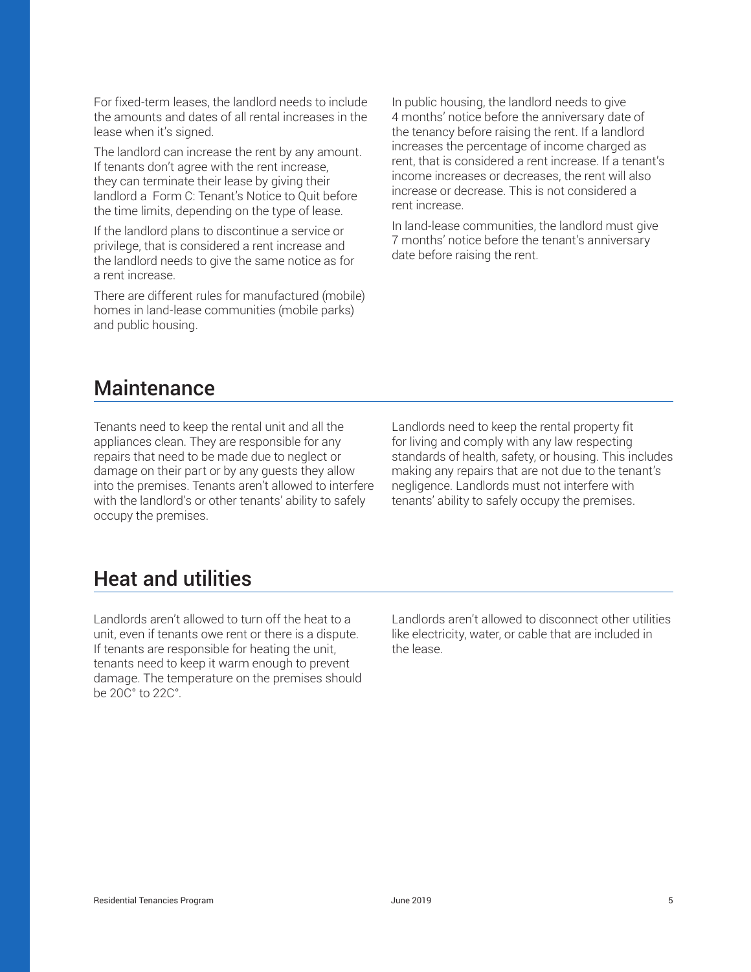For fixed-term leases, the landlord needs to include the amounts and dates of all rental increases in the lease when it's signed.

The landlord can increase the rent by any amount. If tenants don't agree with the rent increase, they can terminate their lease by giving their landlord a Form C: Tenant's Notice to Quit before the time limits, depending on the type of lease.

If the landlord plans to discontinue a service or privilege, that is considered a rent increase and the landlord needs to give the same notice as for a rent increase.

There are different rules for manufactured (mobile) homes in land-lease communities (mobile parks) and public housing.

In public housing, the landlord needs to give 4 months' notice before the anniversary date of the tenancy before raising the rent. If a landlord increases the percentage of income charged as rent, that is considered a rent increase. If a tenant's income increases or decreases, the rent will also increase or decrease. This is not considered a rent increase.

In land-lease communities, the landlord must give 7 months' notice before the tenant's anniversary date before raising the rent.

### **Maintenance**

Tenants need to keep the rental unit and all the appliances clean. They are responsible for any repairs that need to be made due to neglect or damage on their part or by any guests they allow into the premises. Tenants aren't allowed to interfere with the landlord's or other tenants' ability to safely occupy the premises.

Landlords need to keep the rental property fit for living and comply with any law respecting standards of health, safety, or housing. This includes making any repairs that are not due to the tenant's negligence. Landlords must not interfere with tenants' ability to safely occupy the premises.

## Heat and utilities

Landlords aren't allowed to turn off the heat to a unit, even if tenants owe rent or there is a dispute. If tenants are responsible for heating the unit, tenants need to keep it warm enough to prevent damage. The temperature on the premises should be 20C° to 22C°.

Landlords aren't allowed to disconnect other utilities like electricity, water, or cable that are included in the lease.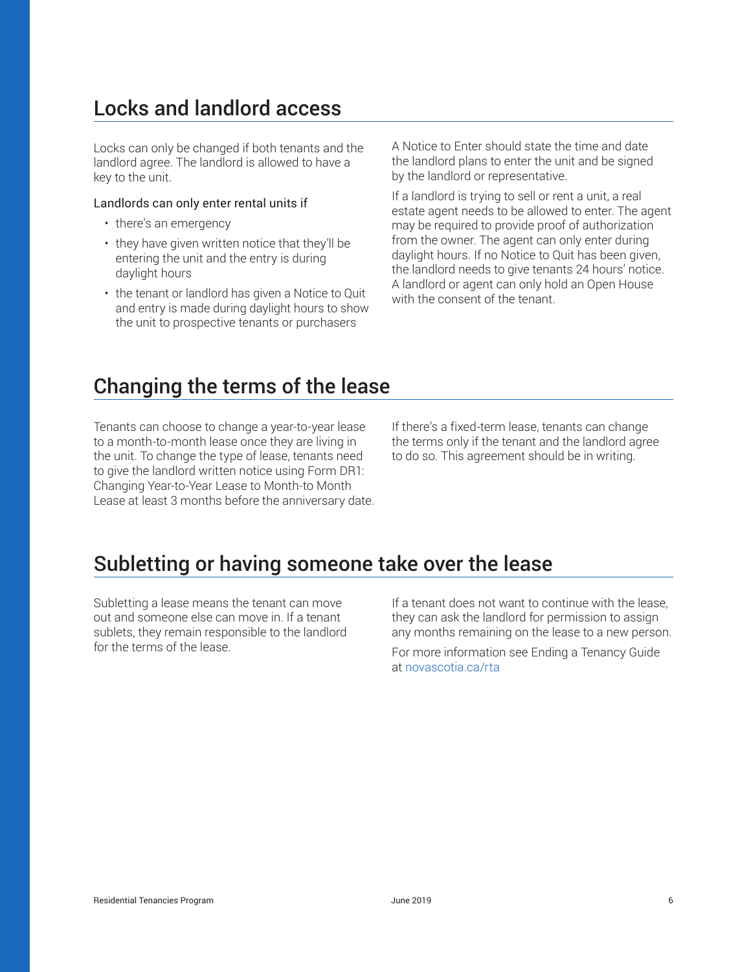# Locks and landlord access

Locks can only be changed if both tenants and the landlord agree. The landlord is allowed to have a key to the unit.

#### Landlords can only enter rental units if

- there's an emergency
- they have given written notice that they'll be entering the unit and the entry is during daylight hours
- the tenant or landlord has given a Notice to Quit and entry is made during daylight hours to show the unit to prospective tenants or purchasers

A Notice to Enter should state the time and date the landlord plans to enter the unit and be signed by the landlord or representative.

If a landlord is trying to sell or rent a unit, a real estate agent needs to be allowed to enter. The agent may be required to provide proof of authorization from the owner. The agent can only enter during daylight hours. If no Notice to Quit has been given, the landlord needs to give tenants 24 hours' notice. A landlord or agent can only hold an Open House with the consent of the tenant.

### Changing the terms of the lease

Tenants can choose to change a year-to-year lease to a month-to-month lease once they are living in the unit. To change the type of lease, tenants need to give the landlord written notice using Form DR1: Changing Year-to-Year Lease to Month-to Month Lease at least 3 months before the anniversary date. If there's a fixed-term lease, tenants can change the terms only if the tenant and the landlord agree to do so. This agreement should be in writing.

## Subletting or having someone take over the lease

Subletting a lease means the tenant can move out and someone else can move in. If a tenant sublets, they remain responsible to the landlord for the terms of the lease.

If a tenant does not want to continue with the lease, they can ask the landlord for permission to assign any months remaining on the lease to a new person.

For more information see Ending a Tenancy Guide at novascotia.ca/rta